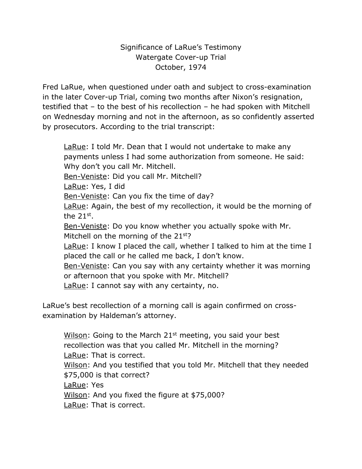## Significance of LaRue's Testimony Watergate Cover-up Trial October, 1974

Fred LaRue, when questioned under oath and subject to cross-examination in the later Cover-up Trial, coming two months after Nixon's resignation, testified that – to the best of his recollection – he had spoken with Mitchell on Wednesday morning and not in the afternoon, as so confidently asserted by prosecutors. According to the trial transcript:

LaRue: I told Mr. Dean that I would not undertake to make any payments unless I had some authorization from someone. He said: Why don't you call Mr. Mitchell. Ben-Veniste: Did you call Mr. Mitchell? LaRue: Yes, I did Ben-Veniste: Can you fix the time of day? LaRue: Again, the best of my recollection, it would be the morning of the 21st. Ben-Veniste: Do you know whether you actually spoke with Mr. Mitchell on the morning of the 21<sup>st</sup>? LaRue: I know I placed the call, whether I talked to him at the time I placed the call or he called me back, I don't know. Ben-Veniste: Can you say with any certainty whether it was morning or afternoon that you spoke with Mr. Mitchell? LaRue: I cannot say with any certainty, no.

LaRue's best recollection of a morning call is again confirmed on crossexamination by Haldeman's attorney.

Wilson: Going to the March  $21<sup>st</sup>$  meeting, you said your best recollection was that you called Mr. Mitchell in the morning? LaRue: That is correct. Wilson: And you testified that you told Mr. Mitchell that they needed \$75,000 is that correct? LaRue: Yes Wilson: And you fixed the figure at \$75,000? LaRue: That is correct.